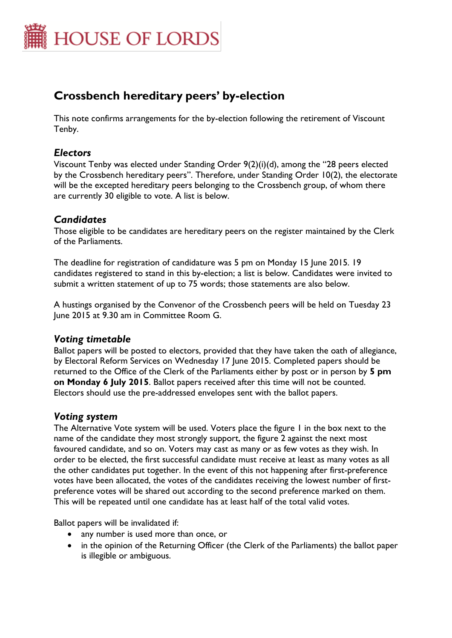

# **Crossbench hereditary peers' by-election**

This note confirms arrangements for the by-election following the retirement of Viscount Tenby.

## *Electors*

Viscount Tenby was elected under Standing Order 9(2)(i)(d), among the "28 peers elected by the Crossbench hereditary peers". Therefore, under Standing Order 10(2), the electorate will be the excepted hereditary peers belonging to the Crossbench group, of whom there are currently 30 eligible to vote. A list is below.

# *Candidates*

Those eligible to be candidates are hereditary peers on the register maintained by the Clerk of the Parliaments.

The deadline for registration of candidature was 5 pm on Monday 15 June 2015. 19 candidates registered to stand in this by-election; a list is below. Candidates were invited to submit a written statement of up to 75 words; those statements are also below.

A hustings organised by the Convenor of the Crossbench peers will be held on Tuesday 23 June 2015 at 9.30 am in Committee Room G.

## *Voting timetable*

Ballot papers will be posted to electors, provided that they have taken the oath of allegiance, by Electoral Reform Services on Wednesday 17 June 2015. Completed papers should be returned to the Office of the Clerk of the Parliaments either by post or in person by **5 pm on Monday 6 July 2015**. Ballot papers received after this time will not be counted. Electors should use the pre-addressed envelopes sent with the ballot papers.

## *Voting system*

The Alternative Vote system will be used. Voters place the figure 1 in the box next to the name of the candidate they most strongly support, the figure 2 against the next most favoured candidate, and so on. Voters may cast as many or as few votes as they wish. In order to be elected, the first successful candidate must receive at least as many votes as all the other candidates put together. In the event of this not happening after first-preference votes have been allocated, the votes of the candidates receiving the lowest number of firstpreference votes will be shared out according to the second preference marked on them. This will be repeated until one candidate has at least half of the total valid votes.

Ballot papers will be invalidated if:

- any number is used more than once, or
- in the opinion of the Returning Officer (the Clerk of the Parliaments) the ballot paper is illegible or ambiguous.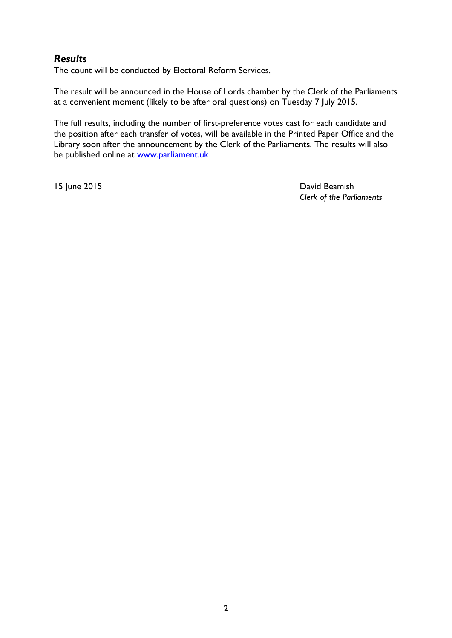# *Results*

The count will be conducted by Electoral Reform Services.

The result will be announced in the House of Lords chamber by the Clerk of the Parliaments at a convenient moment (likely to be after oral questions) on Tuesday 7 July 2015.

The full results, including the number of first-preference votes cast for each candidate and the position after each transfer of votes, will be available in the Printed Paper Office and the Library soon after the announcement by the Clerk of the Parliaments. The results will also be published online at [www.parliament.uk](http://www.parliament.uk/)

15 June 2015 David Beamish *Clerk of the Parliaments*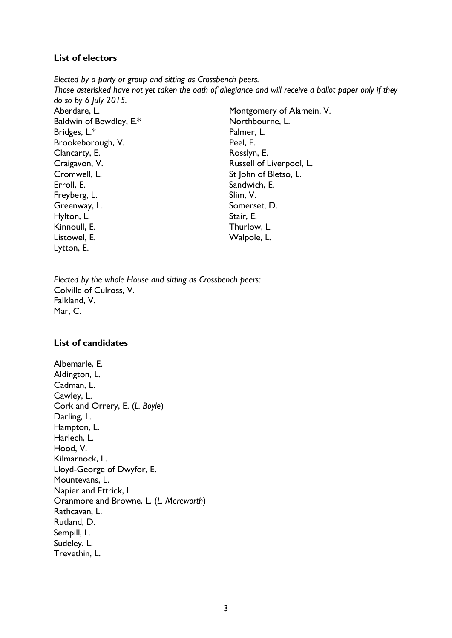#### **List of electors**

*Elected by a party or group and sitting as Crossbench peers. Those asterisked have not yet taken the oath of allegiance and will receive a ballot paper only if they do so by 6 July 2015.* Aberdare, L. Baldwin of Bewdley, E.\* Bridges, L.\* Brookeborough, V. Clancarty, E. Craigavon, V. Cromwell, L. Erroll, E. Freyberg, L. Greenway, L. Hylton, L. Kinnoull, E. Listowel, E. Lytton, E. Montgomery of Alamein, V. Northbourne, L. Palmer, L. Peel, E. Rosslyn, E. Russell of Liverpool, L. St John of Bletso, L. Sandwich, E. Slim, V. Somerset, D. Stair, E. Thurlow, L. Walpole, L.

*Elected by the whole House and sitting as Crossbench peers:* Colville of Culross, V. Falkland, V. Mar, C.

#### **List of candidates**

Albemarle, E. Aldington, L. Cadman, L. Cawley, L. Cork and Orrery, E. (*L. Boyle*) Darling, L. Hampton, L. Harlech, L. Hood, V. Kilmarnock, L. Lloyd-George of Dwyfor, E. Mountevans, L. Napier and Ettrick, L. Oranmore and Browne, L. (*L. Mereworth*) Rathcavan, L. Rutland, D. Sempill, L. Sudeley, L. Trevethin, L.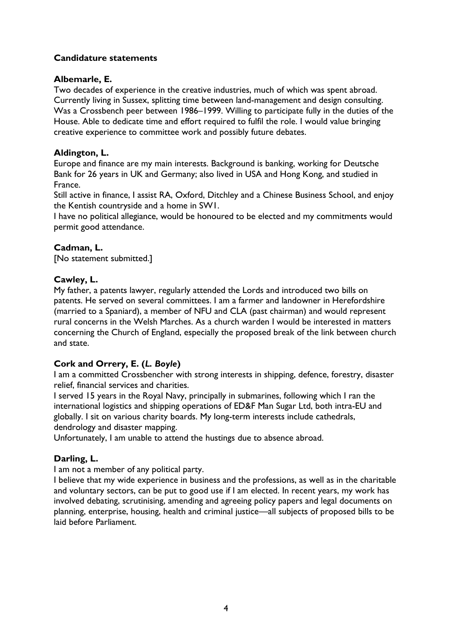#### **Candidature statements**

#### **Albemarle, E.**

Two decades of experience in the creative industries, much of which was spent abroad. Currently living in Sussex, splitting time between land-management and design consulting. Was a Crossbench peer between 1986–1999. Willing to participate fully in the duties of the House. Able to dedicate time and effort required to fulfil the role. I would value bringing creative experience to committee work and possibly future debates.

#### **Aldington, L.**

Europe and finance are my main interests. Background is banking, working for Deutsche Bank for 26 years in UK and Germany; also lived in USA and Hong Kong, and studied in France.

Still active in finance, I assist RA, Oxford, Ditchley and a Chinese Business School, and enjoy the Kentish countryside and a home in SW1.

I have no political allegiance, would be honoured to be elected and my commitments would permit good attendance.

#### **Cadman, L.**

[No statement submitted.]

#### **Cawley, L.**

My father, a patents lawyer, regularly attended the Lords and introduced two bills on patents. He served on several committees. I am a farmer and landowner in Herefordshire (married to a Spaniard), a member of NFU and CLA (past chairman) and would represent rural concerns in the Welsh Marches. As a church warden I would be interested in matters concerning the Church of England, especially the proposed break of the link between church and state.

## **Cork and Orrery, E. (***L. Boyle***)**

I am a committed Crossbencher with strong interests in shipping, defence, forestry, disaster relief, financial services and charities.

I served 15 years in the Royal Navy, principally in submarines, following which I ran the international logistics and shipping operations of ED&F Man Sugar Ltd, both intra-EU and globally. I sit on various charity boards. My long-term interests include cathedrals, dendrology and disaster mapping.

Unfortunately, I am unable to attend the hustings due to absence abroad.

#### **Darling, L.**

I am not a member of any political party.

I believe that my wide experience in business and the professions, as well as in the charitable and voluntary sectors, can be put to good use if I am elected. In recent years, my work has involved debating, scrutinising, amending and agreeing policy papers and legal documents on planning, enterprise, housing, health and criminal justice—all subjects of proposed bills to be laid before Parliament.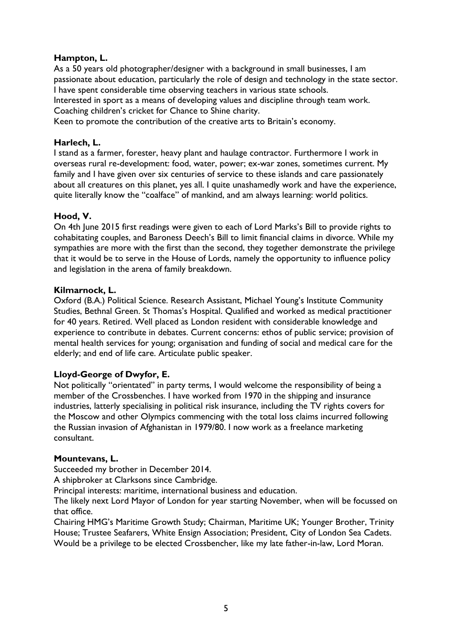#### **Hampton, L.**

As a 50 years old photographer/designer with a background in small businesses, I am passionate about education, particularly the role of design and technology in the state sector. I have spent considerable time observing teachers in various state schools.

Interested in sport as a means of developing values and discipline through team work. Coaching children's cricket for Chance to Shine charity.

Keen to promote the contribution of the creative arts to Britain's economy.

#### **Harlech, L.**

I stand as a farmer, forester, heavy plant and haulage contractor. Furthermore I work in overseas rural re-development: food, water, power; ex-war zones, sometimes current. My family and I have given over six centuries of service to these islands and care passionately about all creatures on this planet, yes all. I quite unashamedly work and have the experience, quite literally know the "coalface" of mankind, and am always learning: world politics.

#### **Hood, V.**

On 4th June 2015 first readings were given to each of Lord Marks's Bill to provide rights to cohabitating couples, and Baroness Deech's Bill to limit financial claims in divorce. While my sympathies are more with the first than the second, they together demonstrate the privilege that it would be to serve in the House of Lords, namely the opportunity to influence policy and legislation in the arena of family breakdown.

#### **Kilmarnock, L.**

Oxford (B.A.) Political Science. Research Assistant, Michael Young's Institute Community Studies, Bethnal Green. St Thomas's Hospital. Qualified and worked as medical practitioner for 40 years. Retired. Well placed as London resident with considerable knowledge and experience to contribute in debates. Current concerns: ethos of public service; provision of mental health services for young; organisation and funding of social and medical care for the elderly; and end of life care. Articulate public speaker.

#### **Lloyd-George of Dwyfor, E.**

Not politically "orientated" in party terms, I would welcome the responsibility of being a member of the Crossbenches. I have worked from 1970 in the shipping and insurance industries, latterly specialising in political risk insurance, including the TV rights covers for the Moscow and other Olympics commencing with the total loss claims incurred following the Russian invasion of Afghanistan in 1979/80. I now work as a freelance marketing consultant.

#### **Mountevans, L.**

Succeeded my brother in December 2014.

A shipbroker at Clarksons since Cambridge.

Principal interests: maritime, international business and education.

The likely next Lord Mayor of London for year starting November, when will be focussed on that office.

Chairing HMG's Maritime Growth Study; Chairman, Maritime UK; Younger Brother, Trinity House; Trustee Seafarers, White Ensign Association; President, City of London Sea Cadets. Would be a privilege to be elected Crossbencher, like my late father-in-law, Lord Moran.